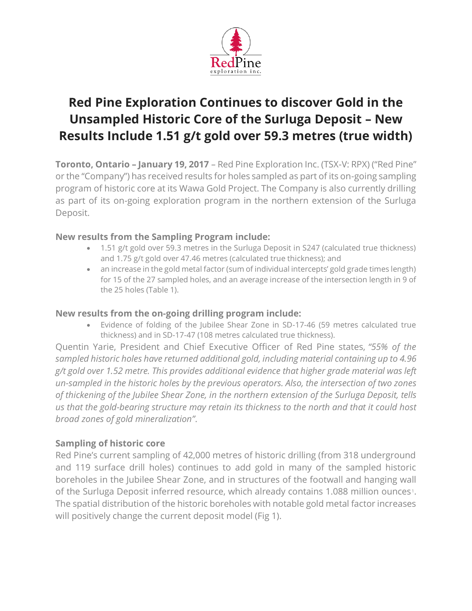

# **Red Pine Exploration Continues to discover Gold in the Unsampled Historic Core of the Surluga Deposit – New Results Include 1.51 g/t gold over 59.3 metres (true width)**

**Toronto, Ontario – January 19, 2017** – Red Pine Exploration Inc. (TSX-V: RPX) ("Red Pine" or the "Company") has received results for holes sampled as part of its on-going sampling program of historic core at its Wawa Gold Project. The Company is also currently drilling as part of its on-going exploration program in the northern extension of the Surluga Deposit.

## **New results from the Sampling Program include:**

- 1.51 g/t gold over 59.3 metres in the Surluga Deposit in S247 (calculated true thickness) and 1.75 g/t gold over 47.46 metres (calculated true thickness); and
- an increase in the gold metal factor (sum of individual intercepts' gold grade times length) for 15 of the 27 sampled holes, and an average increase of the intersection length in 9 of the 25 holes (Table 1).

#### **New results from the on-going drilling program include:**

• Evidence of folding of the Jubilee Shear Zone in SD-17-46 (59 metres calculated true thickness) and in SD-17-47 (108 metres calculated true thickness).

Quentin Yarie, President and Chief Executive Officer of Red Pine states, *"55% of the sampled historic holes have returned additional gold, including material containing up to 4.96 g/t gold over 1.52 metre. This provides additional evidence that higher grade material was left un-sampled in the historic holes by the previous operators. Also, the intersection of two zones of thickening of the Jubilee Shear Zone, in the northern extension of the Surluga Deposit, tells us that the gold-bearing structure may retain its thickness to the north and that it could host broad zones of gold mineralization"*.

# **Sampling of historic core**

Red Pine's current sampling of 42,000 metres of historic drilling (from 318 underground and 119 surface drill holes) continues to add gold in many of the sampled historic boreholes in the Jubilee Shear Zone, and in structures of the footwall and hanging wall of the Surluga Deposit inferred resource, which already contains 1.088 million ounces<sup>1</sup>. The spatial distribution of the historic boreholes with notable gold metal factor increases will positively change the current deposit model (Fig 1).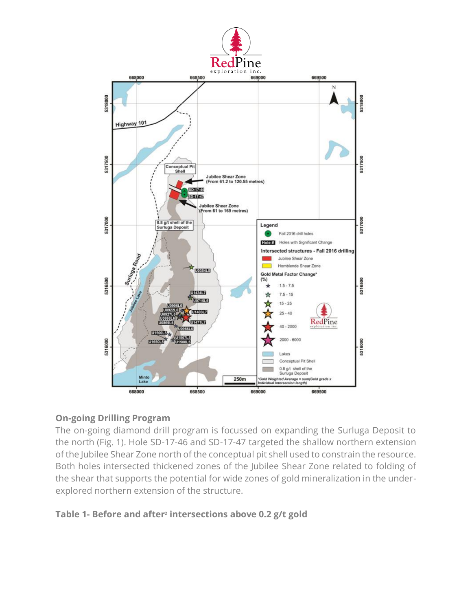

#### **On-going Drilling Program**

The on-going diamond drill program is focussed on expanding the Surluga Deposit to the north (Fig. 1). Hole SD-17-46 and SD-17-47 targeted the shallow northern extension of the Jubilee Shear Zone north of the conceptual pit shell used to constrain the resource. Both holes intersected thickened zones of the Jubilee Shear Zone related to folding of the shear that supports the potential for wide zones of gold mineralization in the underexplored northern extension of the structure.

#### **Table 1- Before and after<sup>2</sup> intersections above 0.2 g/t gold**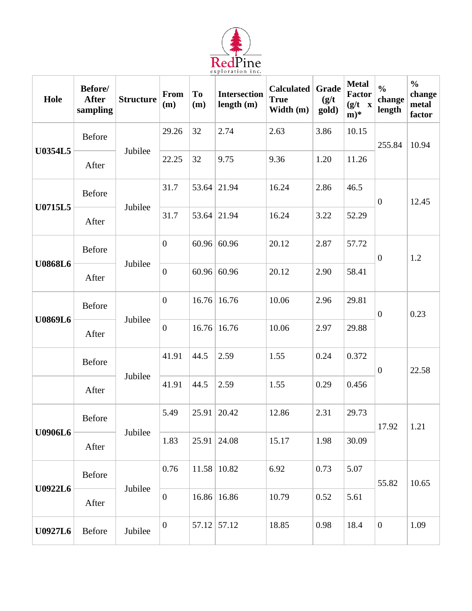

| Hole           | Before/<br><b>After</b><br>sampling | <b>Structure</b> | From<br>(m)      | <b>To</b><br>(m) | <b>Intersection</b><br>length $(m)$ | <b>Calculated</b><br><b>True</b><br>Width (m) | Grade<br>(g/t)<br>gold) | <b>Metal</b><br><b>Factor</b><br>$(g/t \ x)$<br>$\mathbf{m})^*$ | $\frac{0}{0}$<br>change<br>length | $\frac{0}{0}$<br>change<br>metal<br>factor |
|----------------|-------------------------------------|------------------|------------------|------------------|-------------------------------------|-----------------------------------------------|-------------------------|-----------------------------------------------------------------|-----------------------------------|--------------------------------------------|
| <b>U0354L5</b> | <b>Before</b>                       | Jubilee          | 29.26            | 32               | 2.74                                | 2.63                                          | 3.86                    | 10.15                                                           | 255.84                            | 10.94                                      |
|                | After                               |                  | 22.25            | 32               | 9.75                                | 9.36                                          | 1.20                    | 11.26                                                           |                                   |                                            |
| U0715L5        | <b>Before</b>                       | Jubilee          | 31.7             |                  | 53.64 21.94                         | 16.24                                         | 2.86                    | 46.5                                                            | $\overline{0}$                    | 12.45                                      |
|                | After                               |                  | 31.7             | 53.64            | 21.94                               | 16.24                                         | 3.22                    | 52.29                                                           |                                   |                                            |
| <b>U0868L6</b> | <b>Before</b>                       | Jubilee          | $\boldsymbol{0}$ |                  | 60.96 60.96                         | 20.12                                         | 2.87                    | 57.72                                                           | $\boldsymbol{0}$                  | 1.2                                        |
|                | After                               |                  | $\boldsymbol{0}$ |                  | 60.96 60.96                         | 20.12                                         | 2.90                    | 58.41                                                           |                                   |                                            |
| <b>U0869L6</b> | Before                              | Jubilee          | $\boldsymbol{0}$ |                  | $16.76$ 16.76                       | 10.06                                         | 2.96                    | 29.81                                                           | $\boldsymbol{0}$                  | 0.23                                       |
|                | After                               |                  | $\boldsymbol{0}$ |                  | $16.76$ 16.76                       | 10.06                                         | 2.97                    | 29.88                                                           |                                   |                                            |
|                | <b>Before</b>                       | Jubilee          | 41.91            | 44.5             | 2.59                                | 1.55                                          | 0.24                    | 0.372                                                           | $\boldsymbol{0}$                  | 22.58                                      |
|                | After                               |                  | 41.91            | 44.5             | 2.59                                | 1.55                                          | 0.29                    | 0.456                                                           |                                   |                                            |
| <b>U0906L6</b> | <b>Before</b>                       | Jubilee          | 5.49             | 25.91            | 20.42                               | 12.86                                         | 2.31                    | 29.73                                                           | 17.92                             | 1.21                                       |
|                | After                               |                  | 1.83             | 25.91            | 24.08                               | 15.17                                         | 1.98                    | 30.09                                                           |                                   |                                            |
| <b>U0922L6</b> | Before                              | Jubilee          | 0.76             |                  | $11.58$ 10.82                       | 6.92                                          | 0.73                    | 5.07                                                            | 55.82                             | 10.65                                      |
|                | After                               |                  | $\boldsymbol{0}$ |                  | 16.86 16.86                         | 10.79                                         | 0.52                    | 5.61                                                            |                                   |                                            |
| <b>U0927L6</b> | Before                              | Jubilee          | $\boldsymbol{0}$ |                  | 57.12 57.12                         | 18.85                                         | 0.98                    | 18.4                                                            | $\boldsymbol{0}$                  | 1.09                                       |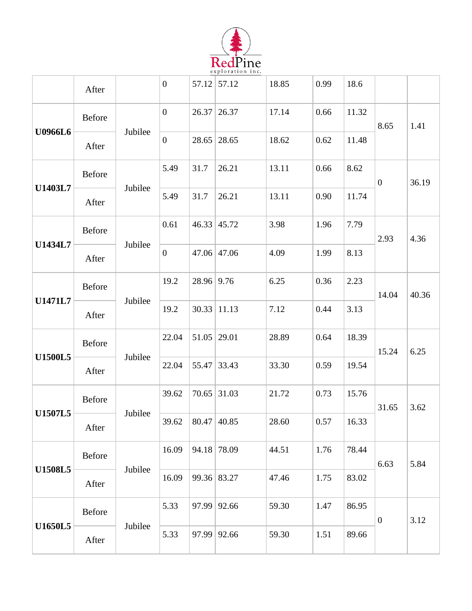

|                | After  |         | $\mathbf{0}$     |                       | $57.12$ 57.12      | 18.85 | 0.99 | 18.6  |                          |       |
|----------------|--------|---------|------------------|-----------------------|--------------------|-------|------|-------|--------------------------|-------|
| U0966L6        | Before | Jubilee | $\overline{0}$   |                       | $26.37$ 26.37      | 17.14 | 0.66 | 11.32 | 8.65<br>$\boldsymbol{0}$ | 1.41  |
|                | After  |         | $\overline{0}$   |                       | $28.65$ 28.65      | 18.62 | 0.62 | 11.48 |                          |       |
|                | Before |         | 5.49             | 31.7                  | 26.21              | 13.11 | 0.66 | 8.62  |                          | 36.19 |
| U1403L7        | After  | Jubilee | 5.49             | 31.7                  | 26.21              | 13.11 | 0.90 | 11.74 | 2.93                     |       |
|                | Before |         | 0.61             |                       | $46.33 \mid 45.72$ | 3.98  | 1.96 | 7.79  |                          | 4.36  |
| U1434L7        | After  | Jubilee | $\boldsymbol{0}$ |                       | $47.06$ 47.06      | 4.09  | 1.99 | 8.13  | 14.04                    |       |
|                | Before |         | 19.2             | $28.96 \mid 9.76$     |                    | 6.25  | 0.36 | 2.23  |                          | 40.36 |
| <b>U1471L7</b> | After  | Jubilee | 19.2             |                       | $30.33$   11.13    | 7.12  | 0.44 | 3.13  | 15.24                    |       |
|                | Before |         | 22.04            | $51.05$ 29.01         |                    | 28.89 | 0.64 | 18.39 |                          | 6.25  |
| <b>U1500L5</b> | After  | Jubilee | 22.04            |                       | 55.47 33.43        | 33.30 | 0.59 | 19.54 | 31.65                    |       |
|                | Before |         | 39.62            |                       | $70.65$ 31.03      | 21.72 | 0.73 | 15.76 |                          | 3.62  |
| <b>U1507L5</b> | After  | Jubilee |                  | 39.62   80.47   40.85 |                    | 28.60 | 0.57 | 16.33 | 6.63                     |       |
|                | Before |         | 16.09            |                       | 94.18 78.09        | 44.51 | 1.76 | 78.44 |                          | 5.84  |
| <b>U1508L5</b> | After  | Jubilee | 16.09            |                       | 99.36 83.27        | 47.46 | 1.75 | 83.02 |                          |       |
| <b>U1650L5</b> | Before | Jubilee | 5.33             |                       | $97.99$ 92.66      | 59.30 | 1.47 | 86.95 | $\boldsymbol{0}$         | 3.12  |
|                | After  |         | 5.33             |                       | $97.99$ 92.66      | 59.30 | 1.51 | 89.66 |                          |       |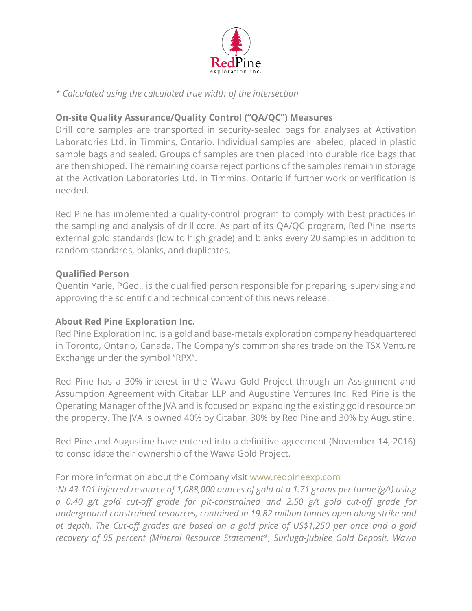

#### *\* Calculated using the calculated true width of the intersection*

## **On-site Quality Assurance/Quality Control ("QA/QC") Measures**

Drill core samples are transported in security-sealed bags for analyses at Activation Laboratories Ltd. in Timmins, Ontario. Individual samples are labeled, placed in plastic sample bags and sealed. Groups of samples are then placed into durable rice bags that are then shipped. The remaining coarse reject portions of the samples remain in storage at the Activation Laboratories Ltd. in Timmins, Ontario if further work or verification is needed.

Red Pine has implemented a quality-control program to comply with best practices in the sampling and analysis of drill core. As part of its QA/QC program, Red Pine inserts external gold standards (low to high grade) and blanks every 20 samples in addition to random standards, blanks, and duplicates.

#### **Qualified Person**

Quentin Yarie, PGeo., is the qualified person responsible for preparing, supervising and approving the scientific and technical content of this news release.

#### **About Red Pine Exploration Inc.**

Red Pine Exploration Inc. is a gold and base-metals exploration company headquartered in Toronto, Ontario, Canada. The Company's common shares trade on the TSX Venture Exchange under the symbol "RPX".

Red Pine has a 30% interest in the Wawa Gold Project through an Assignment and Assumption Agreement with Citabar LLP and Augustine Ventures Inc. Red Pine is the Operating Manager of the JVA and is focused on expanding the existing gold resource on the property. The JVA is owned 40% by Citabar, 30% by Red Pine and 30% by Augustine.

Red Pine and Augustine have entered into a definitive agreement (November 14, 2016) to consolidate their ownership of the Wawa Gold Project.

#### For more information about the Company visit [www.redpineexp.com](http://www.redpineexp.com/)

*<sup>1</sup>NI 43-101 inferred resource of 1,088,000 ounces of gold at a 1.71 grams per tonne (g/t) using a 0.40 g/t gold cut-off grade for pit-constrained and 2.50 g/t gold cut-off grade for underground-constrained resources, contained in 19.82 million tonnes open along strike and at depth. The Cut-off grades are based on a gold price of US\$1,250 per once and a gold recovery of 95 percent (Mineral Resource Statement\*, Surluga-Jubilee Gold Deposit, Wawa*